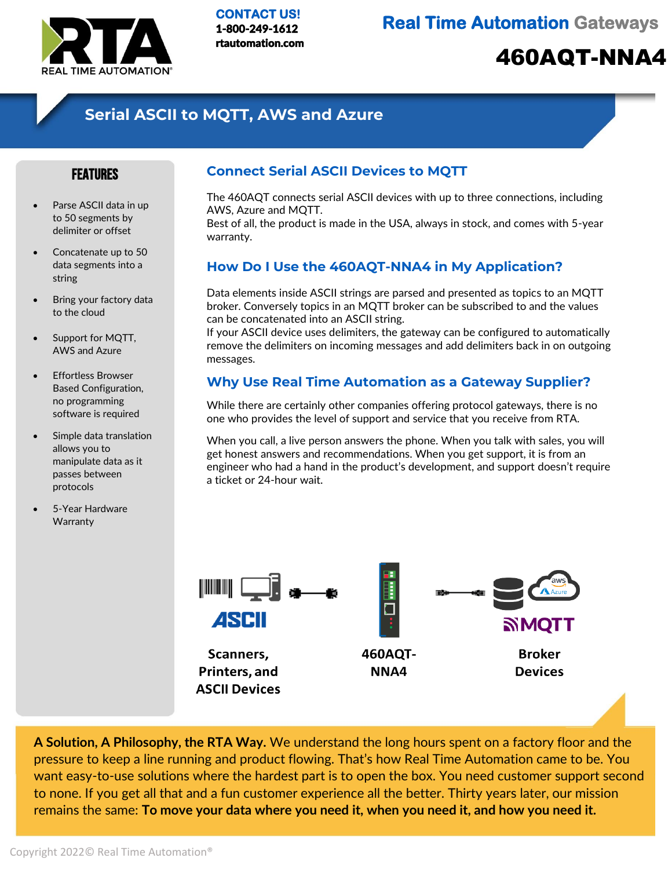

**CONTACT US!**  1-800-249-1612 rtautomation.com

**Real Time Automation Gateways** 

# 460AQT-NNA4

## **Serial ASCII to MQTT, AWS and Azure**

#### FEATURES

- Parse ASCII data in up to 50 segments by delimiter or offset
- Concatenate up to 50 data segments into a string
- Bring your factory data to the cloud
- Support for MQTT, AWS and Azure
- Effortless Browser Based Configuration, no programming software is required
- Simple data translation allows you to manipulate data as it passes between protocols
- 5-Year Hardware **Warranty**

#### **Connect Serial ASCII Devices to MQTT**

The 460AQT connects serial ASCII devices with up to three connections, including AWS, Azure and MQTT.

Best of all, the product is made in the USA, always in stock, and comes with 5-year warranty.

### **How Do I Use the 460AQT-NNA4 in My Application?**

Data elements inside ASCII strings are parsed and presented as topics to an MQTT broker. Conversely topics in an MQTT broker can be subscribed to and the values can be concatenated into an ASCII string.

If your ASCII device uses delimiters, the gateway can be configured to automatically remove the delimiters on incoming messages and add delimiters back in on outgoing messages.

### **Why Use Real Time Automation as a Gateway Supplier?**

While there are certainly other companies offering protocol gateways, there is no one who provides the level of support and service that you receive from RTA.

When you call, a live person answers the phone. When you talk with sales, you will get honest answers and recommendations. When you get support, it is from an engineer who had a hand in the product's development, and support doesn't require a ticket or 24-hour wait.



**A Solution, A Philosophy, the RTA Way.** We understand the long hours spent on a factory floor and the pressure to keep a line running and product flowing. That's how Real Time Automation came to be. You want easy-to-use solutions where the hardest part is to open the box. You need customer support second to none. If you get all that and a fun customer experience all the better. Thirty years later, our mission remains the same: **To move your data where you need it, when you need it, and how you need it.**